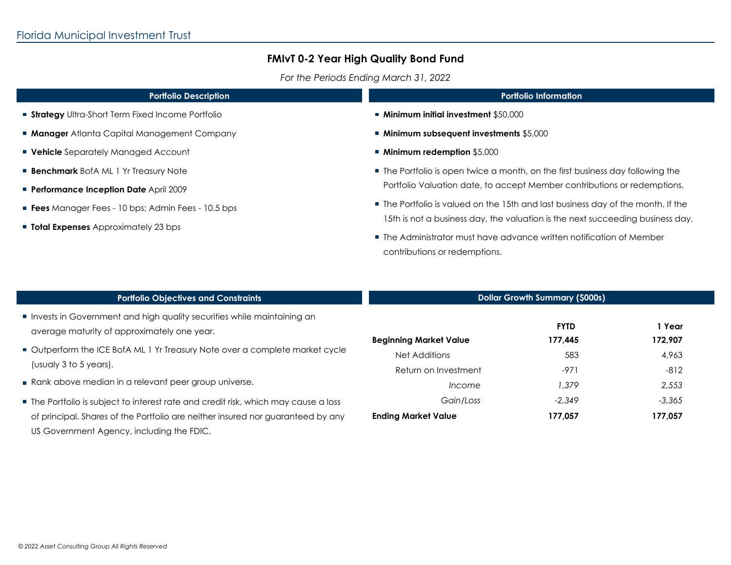*For the Periods Ending March 31, 2022*

| <b>Portfolio Description</b>                             | <b>Portfolio Information</b>                                                                          |  |  |
|----------------------------------------------------------|-------------------------------------------------------------------------------------------------------|--|--|
| <b>Strategy</b> Ultra-Short Term Fixed Income Portfolio  | ■ Minimum initial investment \$50,000                                                                 |  |  |
| <b>Manager</b> Atlanta Capital Management Company        | <b>Minimum subsequent investments \$5,000</b>                                                         |  |  |
| <b>Vehicle</b> Separately Managed Account                | ■ Minimum redemption \$5,000                                                                          |  |  |
| <b>Benchmark</b> BofA ML 1 Yr Treasury Note              | • The Portfolio is open twice a month, on the first business day following the                        |  |  |
| <b>Performance Inception Date April 2009</b>             | Portfolio Valuation date, to accept Member contributions or redemptions.                              |  |  |
| <b>Fees</b> Manager Fees - 10 bps; Admin Fees - 10.5 bps | • The Portfolio is valued on the 15th and last business day of the month. If the                      |  |  |
| <b>Total Expenses</b> Approximately 23 bps               | 15th is not a business day, the valuation is the next succeeding business day.                        |  |  |
|                                                          | ■ The Administrator must have advance written notification of Member<br>contributions or redemptions. |  |  |
|                                                          |                                                                                                       |  |  |
|                                                          |                                                                                                       |  |  |

| <b>Portfolio Objectives and Constraints</b>                                                                                  | <b>Dollar Growth Summary (\$000s)</b> |                        |                   |
|------------------------------------------------------------------------------------------------------------------------------|---------------------------------------|------------------------|-------------------|
| Invests in Government and high quality securities while maintaining an<br>average maturity of approximately one year.        | <b>Beginning Market Value</b>         | <b>FYTD</b><br>177,445 | 1 Year<br>172,907 |
| Outperform the ICE BofA ML 1 Yr Treasury Note over a complete market cycle<br>(usualy 3 to 5 years).                         | Net Additions<br>Return on Investment | 583<br>$-971$          | 4,963<br>$-812$   |
| Rank above median in a relevant peer group universe.                                                                         | <i>Income</i>                         | 1,379                  | 2,553             |
| The Portfolio is subject to interest rate and credit risk, which may cause a loss                                            | Gain/Loss                             | $-2.349$               | $-3,365$          |
| of principal. Shares of the Portfolio are neither insured nor guaranteed by any<br>US Government Agency, including the FDIC. | <b>Ending Market Value</b>            | 177,057                | 177,057           |

 $\mathbf{r}$ 

 $\mathcal{L}_{\mathcal{A}}$ 

 $\mathbf{r}$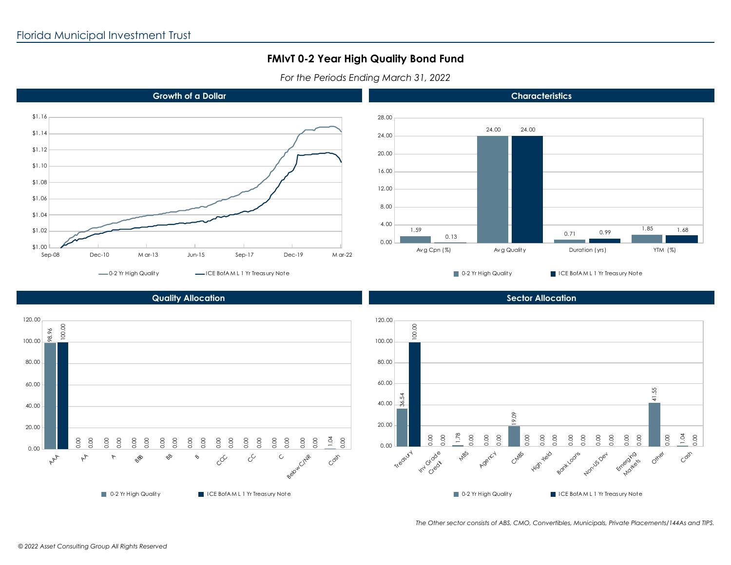*For the Periods Ending March 31, 2022*





**Characteristics**

■ 0-2 Yr High Quality ICE BofA M L 1 Yr Treasury Note

**Sector Allocation**

### **Quality Allocation**



*The Other sector consists of ABS, CMO, Convertibles, Municipals, Private Placements/144As and TIPS.*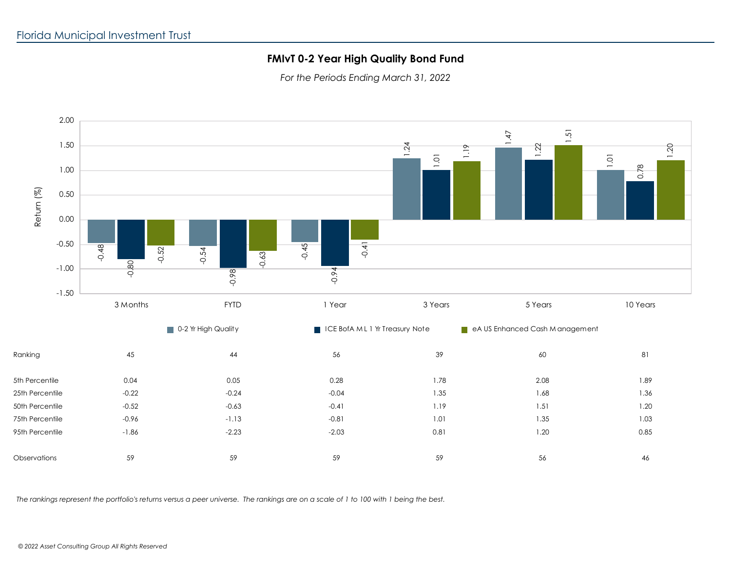*For the Periods Ending March 31, 2022*



*The rankings represent the portfolio's returns versus a peer universe. The rankings are on a scale of 1 to 100 with 1 being the best.*